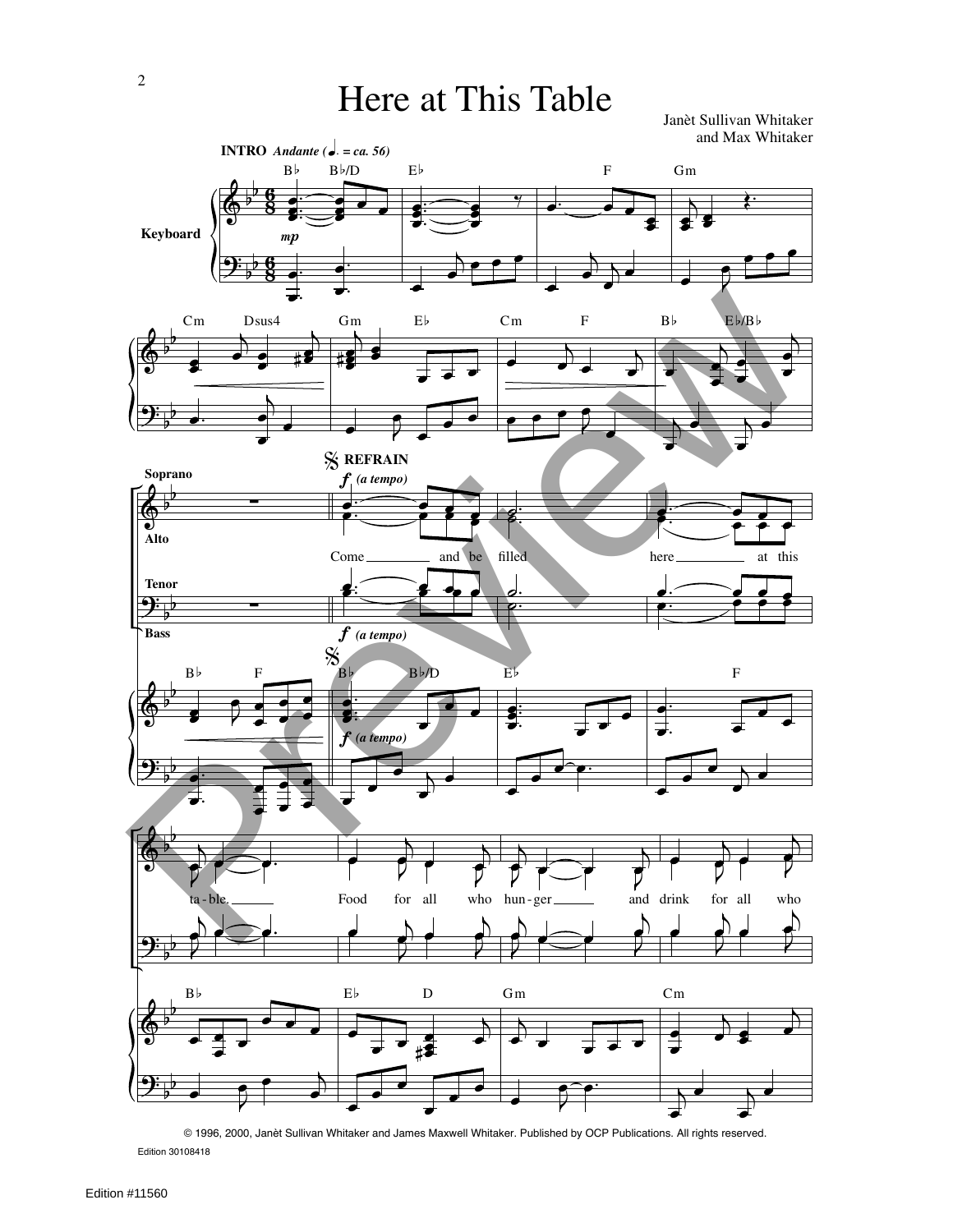Janèt Sullivan Whitaker and Max Whitaker



Edition 30108418 © 1996, 2000, Janèt Sullivan Whitaker and James Maxwell Whitaker. Published by OCP Publications. All rights reserved.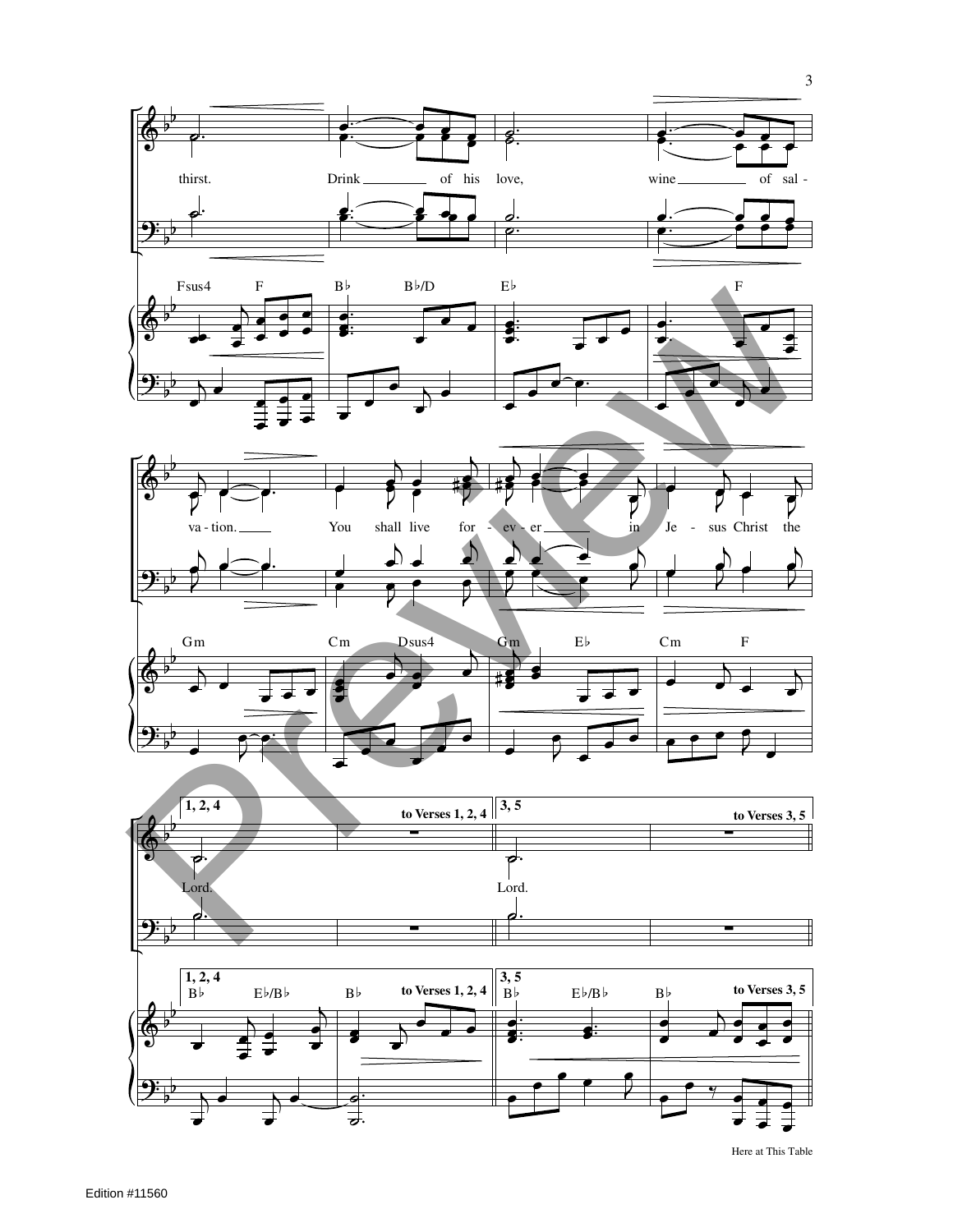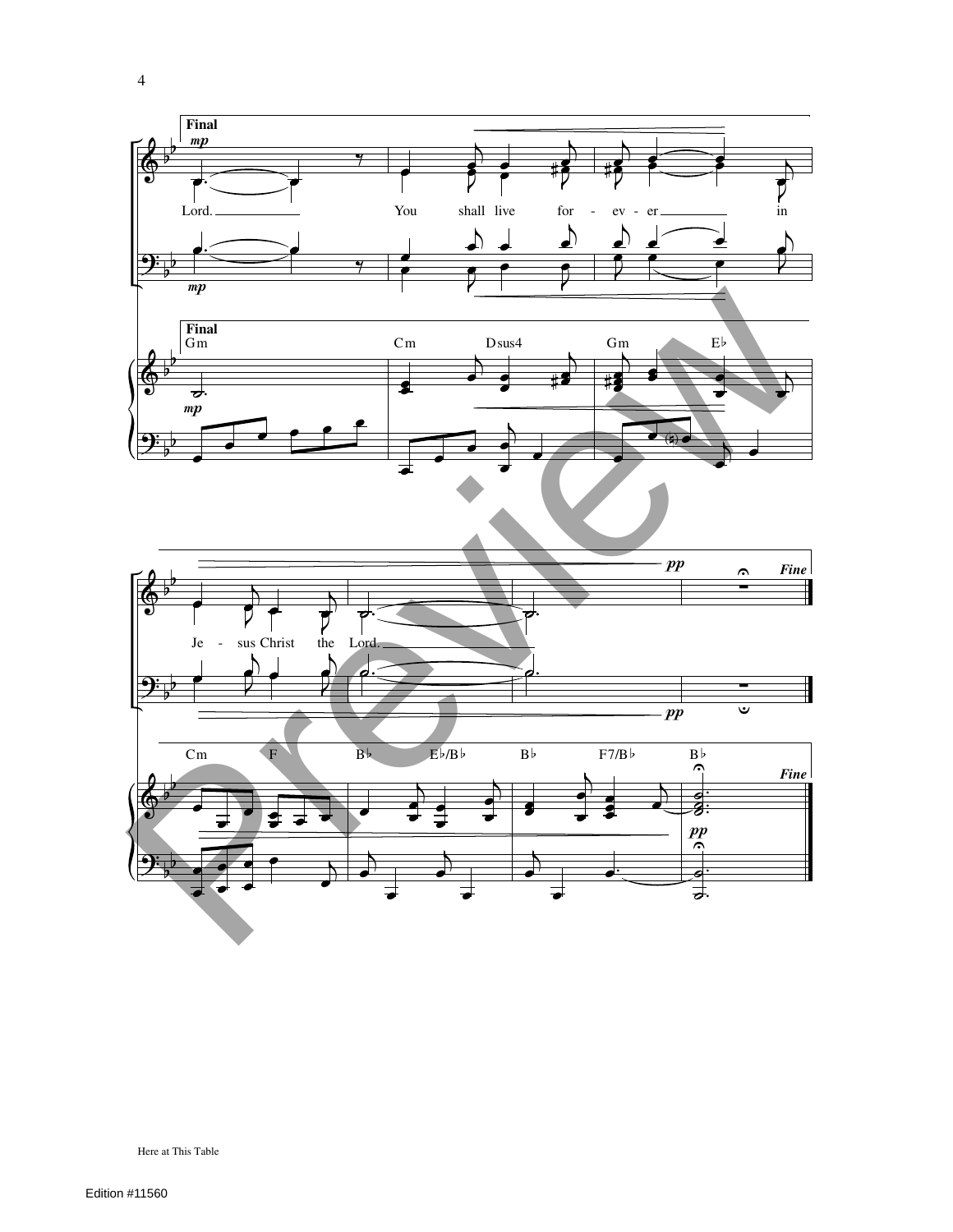

Here at This Table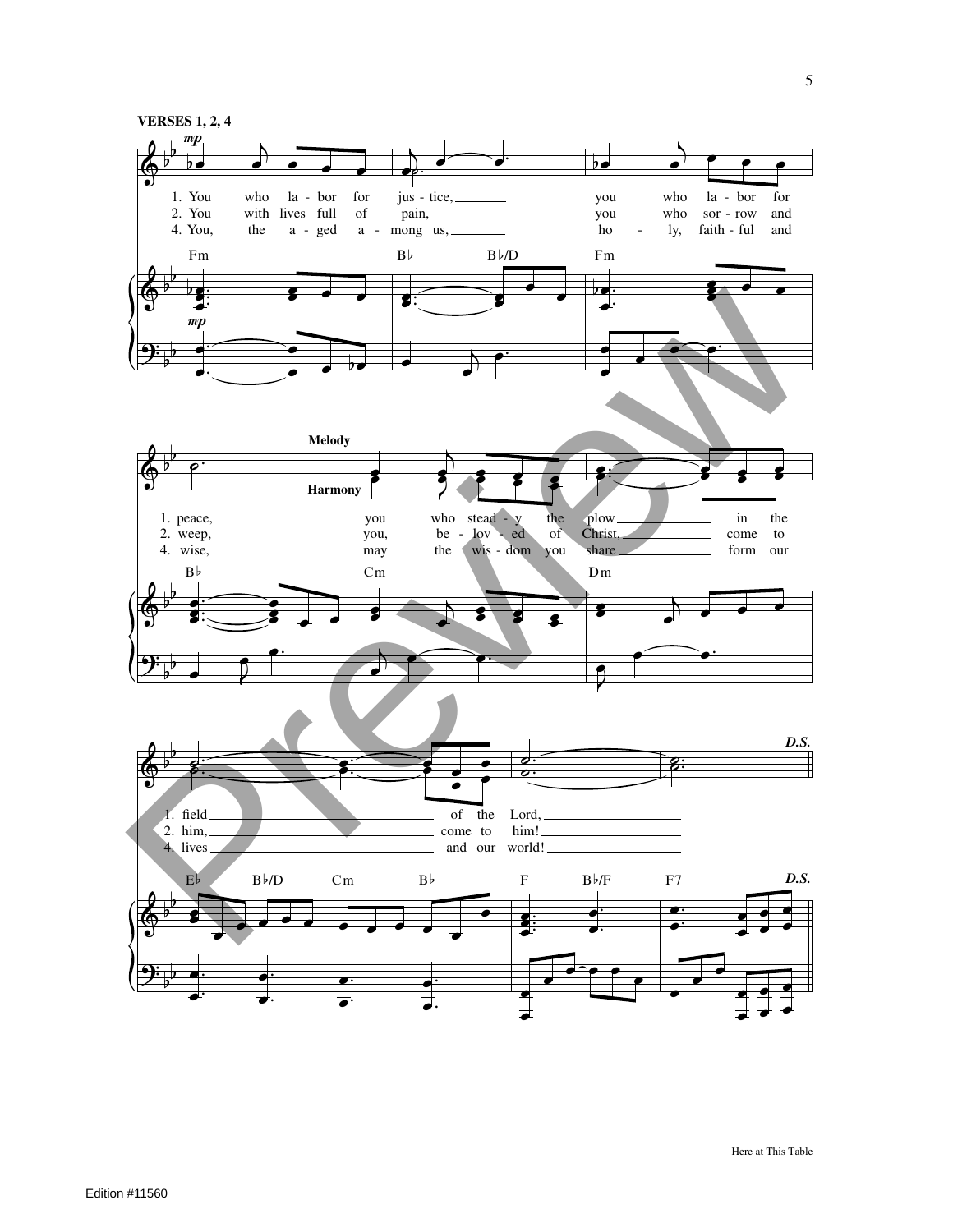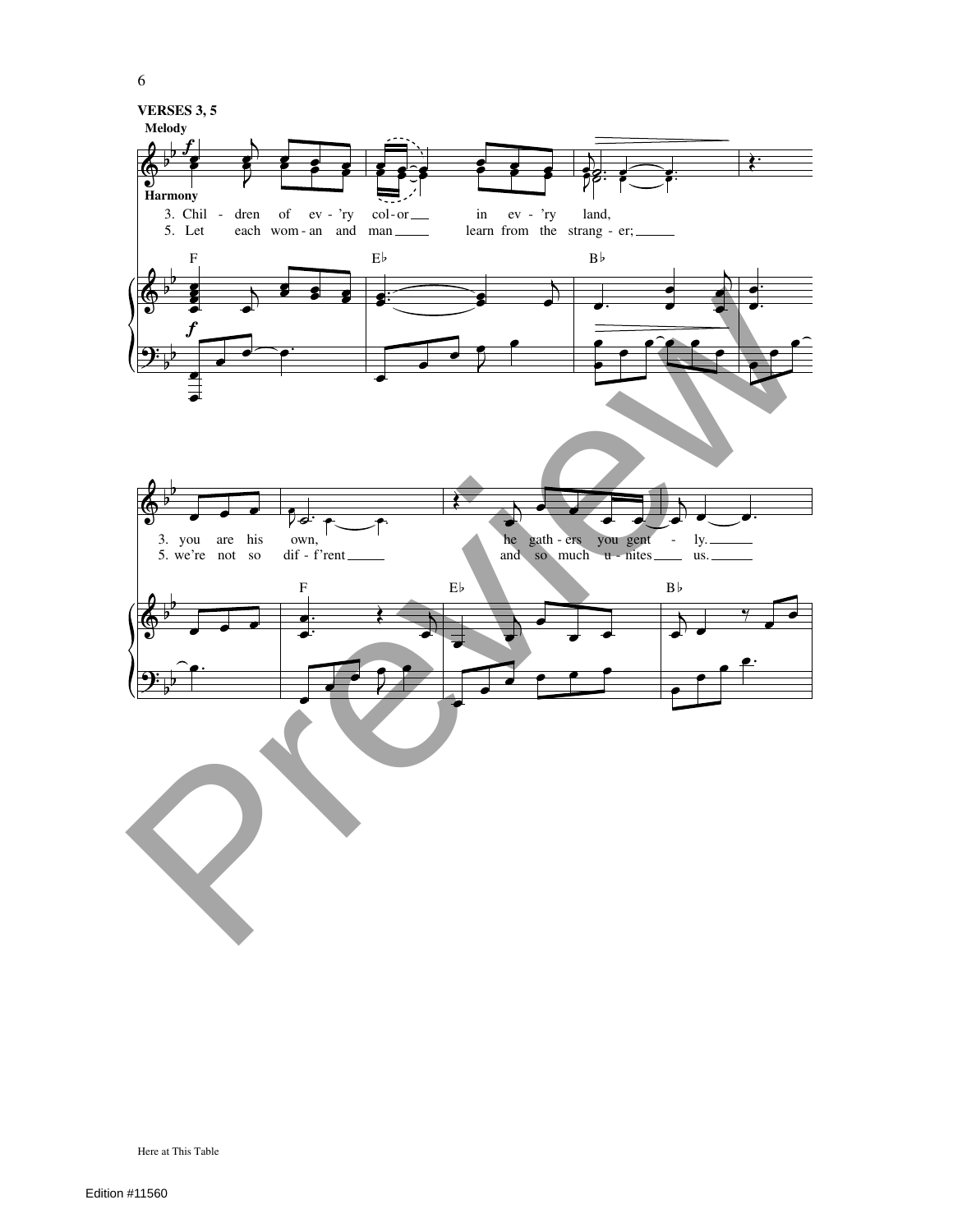

Edition #11560

Here at This Table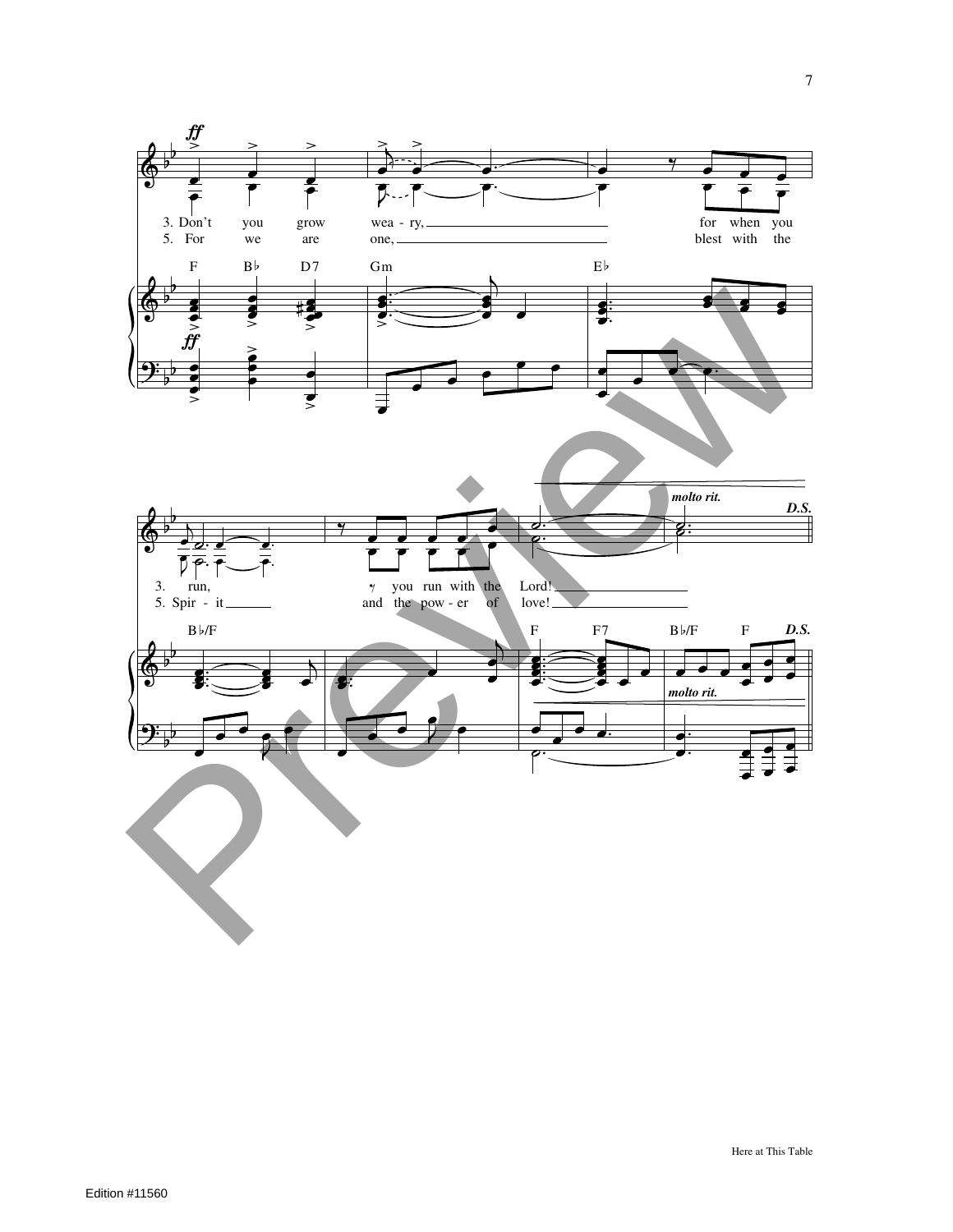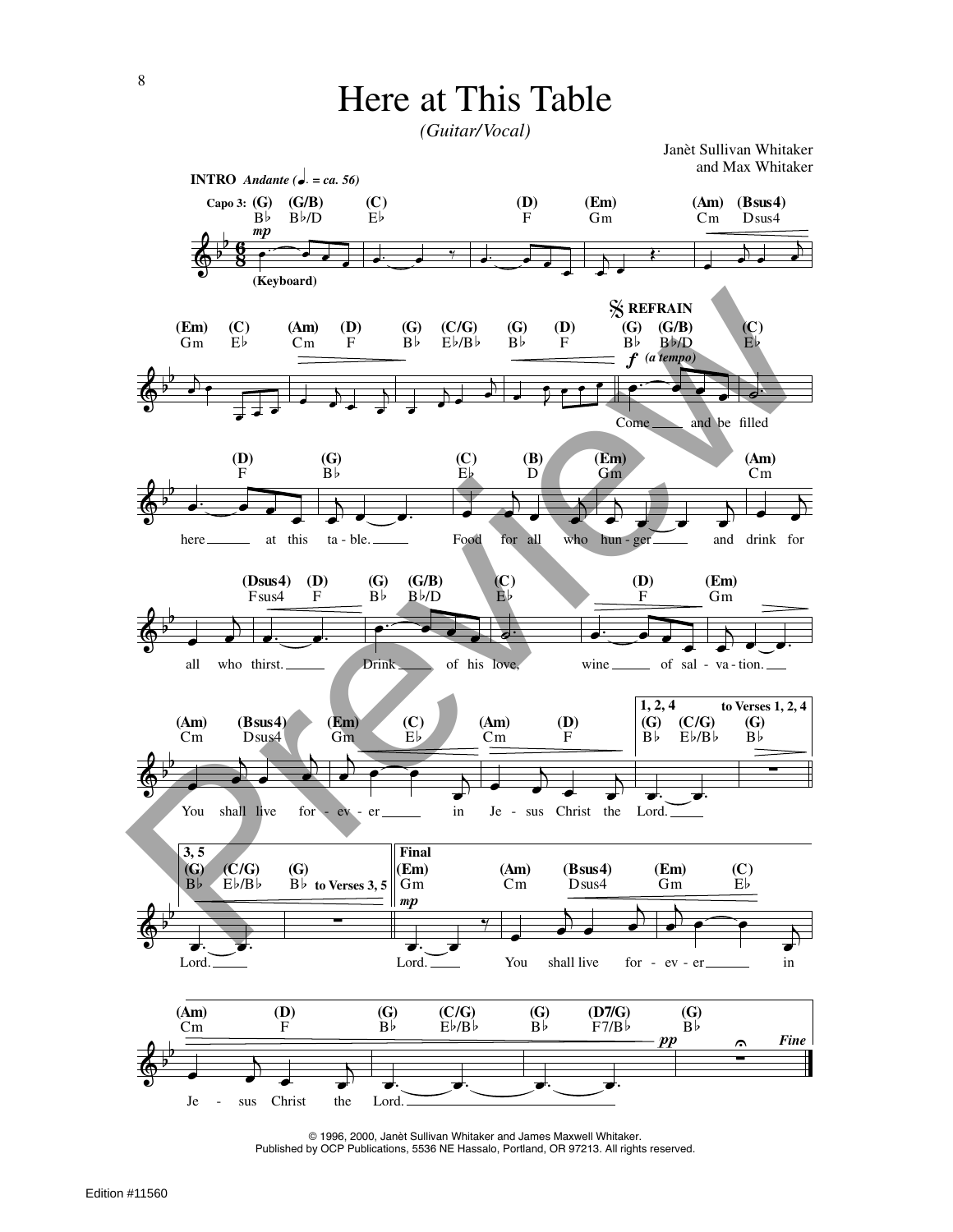*(Guitar/Vocal)*

Janèt Sullivan Whitaker and Max Whitaker



© 1996, 2000, Janèt Sullivan Whitaker and James Maxwell Whitaker. Published by OCP Publications, 5536 NE Hassalo, Portland, OR 97213. All rights reserved.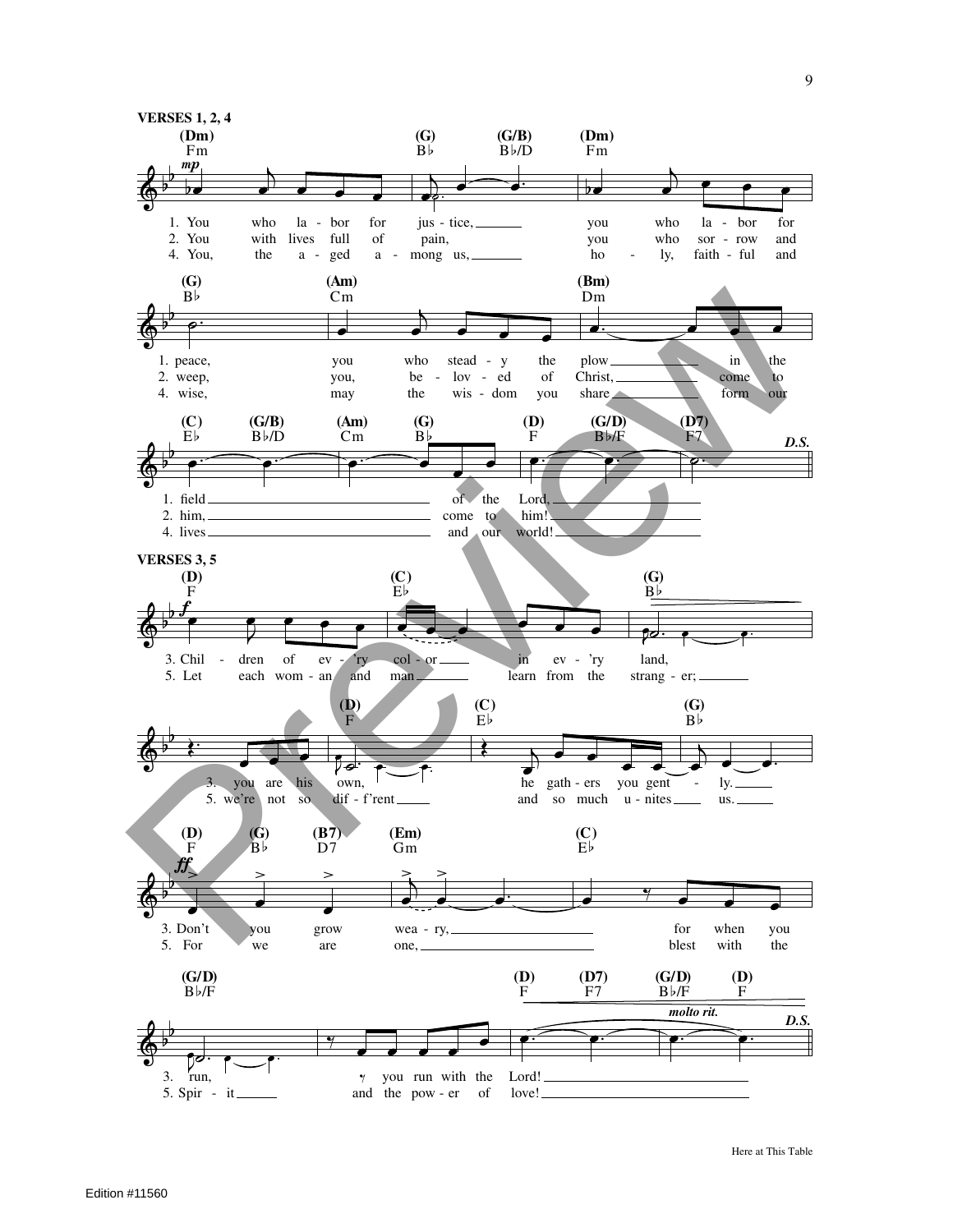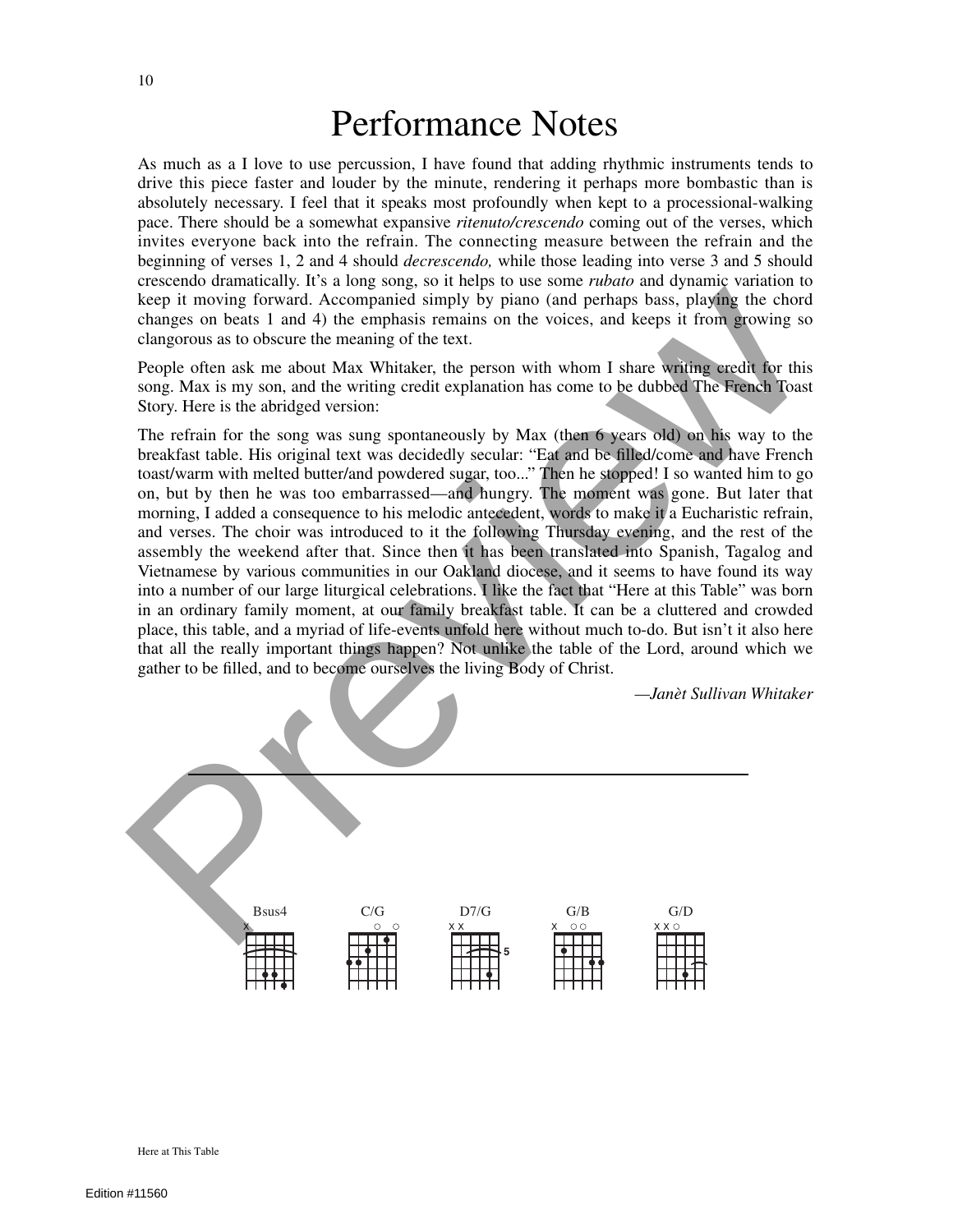## Performance Notes

As much as a I love to use percussion, I have found that adding rhythmic instruments tends to drive this piece faster and louder by the minute, rendering it perhaps more bombastic than is absolutely necessary. I feel that it speaks most profoundly when kept to a processional-walking pace. There should be a somewhat expansive *ritenuto/crescendo* coming out of the verses, which invites everyone back into the refrain. The connecting measure between the refrain and the beginning of verses 1, 2 and 4 should *decrescendo,* while those leading into verse 3 and 5 should crescendo dramatically. It's a long song, so it helps to use some *rubato* and dynamic variation to keep it moving forward. Accompanied simply by piano (and perhaps bass, playing the chord changes on beats 1 and 4) the emphasis remains on the voices, and keeps it from growing so clangorous as to obscure the meaning of the text.

People often ask me about Max Whitaker, the person with whom I share writing credit for this song. Max is my son, and the writing credit explanation has come to be dubbed The French Toast Story. Here is the abridged version:

The refrain for the song was sung spontaneously by Max (then 6 years old) on his way to the breakfast table. His original text was decidedly secular: "Eat and be filled/come and have French toast/warm with melted butter/and powdered sugar, too..." Then he stopped! I so wanted him to go on, but by then he was too embarrassed—and hungry. The moment was gone. But later that morning, I added a consequence to his melodic antecedent, words to make it a Eucharistic refrain, and verses. The choir was introduced to it the following Thursday evening, and the rest of the assembly the weekend after that. Since then it has been translated into Spanish, Tagalog and Vietnamese by various communities in our Oakland diocese, and it seems to have found its way into a number of our large liturgical celebrations. I like the fact that "Here at this Table" was born in an ordinary family moment, at our family breakfast table. It can be a cluttered and crowded place, this table, and a myriad of life-events unfold here without much to-do. But isn't it also here that all the really important things happen? Not unlike the table of the Lord, around which we gather to be filled, and to become ourselves the living Body of Christ. keep it into the original states in the best of the comparison in the best of the conduct the properties in the set of the conduct state of the conductions of the video conduct the meaning of the text.<br>
Proper of the mean

*—Janèt Sullivan Whitaker*



Here at This Table